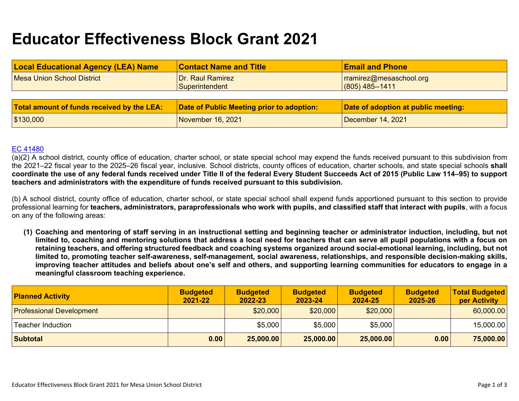# **Educator Effectiveness Block Grant 2021**

| <b>Local Educational Agency (LEA) Name</b> | <b>Contact Name and Title</b>             | <b>Email and Phone</b>                         |  |  |  |  |  |
|--------------------------------------------|-------------------------------------------|------------------------------------------------|--|--|--|--|--|
| Mesa Union School District                 | Dr. Raul Ramirez                          | $rramirez@message$ rramirez $@$ mesaschool.org |  |  |  |  |  |
|                                            | Superintendent                            | $(805)$ 485--1411                              |  |  |  |  |  |
|                                            |                                           |                                                |  |  |  |  |  |
|                                            |                                           |                                                |  |  |  |  |  |
| Total amount of funds received by the LEA: | Date of Public Meeting prior to adoption: | Date of adoption at public meeting:            |  |  |  |  |  |

#### [EC 41480](https://leginfo.legislature.ca.gov/faces/codes_displaySection.xhtml?sectionNum=41480.&lawCode=EDC)

(a)(2) A school district, county office of education, charter school, or state special school may expend the funds received pursuant to this subdivision from the 2021–22 fiscal year to the 2025–26 fiscal year, inclusive. School districts, county offices of education, charter schools, and state special schools **shall coordinate the use of any federal funds received under Title II of the federal Every Student Succeeds Act of 2015 (Public Law 114–95) to support teachers and administrators with the expenditure of funds received pursuant to this subdivision.**

(b) A school district, county office of education, charter school, or state special school shall expend funds apportioned pursuant to this section to provide professional learning for **teachers, administrators, paraprofessionals who work with pupils, and classified staff that interact with pupils**, with a focus on any of the following areas:

**(1) Coaching and mentoring of staff serving in an instructional setting and beginning teacher or administrator induction, including, but not limited to, coaching and mentoring solutions that address a local need for teachers that can serve all pupil populations with a focus on retaining teachers, and offering structured feedback and coaching systems organized around social-emotional learning, including, but not limited to, promoting teacher self-awareness, self-management, social awareness, relationships, and responsible decision-making skills, improving teacher attitudes and beliefs about one's self and others, and supporting learning communities for educators to engage in a meaningful classroom teaching experience.** 

| <b>Planned Activity</b>         | <b>Budgeted</b><br>2021-22 | <b>Budgeted</b><br>2022-23 | <b>Budgeted</b><br>2023-24 | <b>Budgeted</b><br>2024-25 | <b>Budgeted</b><br>2025-26 | <b>Total Budgeted</b><br>per Activity |
|---------------------------------|----------------------------|----------------------------|----------------------------|----------------------------|----------------------------|---------------------------------------|
| <b>Professional Development</b> |                            | \$20,000                   | \$20,000                   | \$20,000                   |                            | 60,000.00                             |
| Teacher Induction               |                            | \$5,000                    | \$5,000                    | \$5,000                    |                            | 15,000.00                             |
| <b>Subtotal</b>                 | 0.00                       | 25,000.00                  | 25,000.00                  | 25,000.00                  | 0.00                       | 75,000.00                             |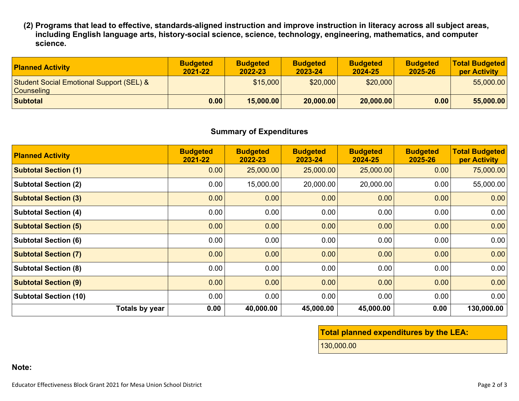**(2) Programs that lead to effective, standards-aligned instruction and improve instruction in literacy across all subject areas, including English language arts, history-social science, science, technology, engineering, mathematics, and computer science.** 

| <b>Planned Activity</b>                                                  | <b>Budgeted</b><br>2021-22 | <b>Budgeted</b><br>2022-23 | <b>Budgeted</b><br>2023-24 | <b>Budgeted</b><br>2024-25 | <b>Budgeted</b><br>2025-26 | <b>Total Budgeted</b><br>per Activity |
|--------------------------------------------------------------------------|----------------------------|----------------------------|----------------------------|----------------------------|----------------------------|---------------------------------------|
| <b>Student Social Emotional Support (SEL) &amp;</b><br><b>Counseling</b> |                            | \$15,000                   | \$20,000                   | \$20,000                   |                            | 55,000.00                             |
| <b>Subtotal</b>                                                          | 0.00                       | 15,000.00                  | 20,000.00                  | 20,000.00                  | 0.00                       | 55,000.00                             |

#### **Summary of Expenditures**

| <b>Planned Activity</b>      | <b>Budgeted</b><br>2021-22 | <b>Budgeted</b><br>2022-23 | <b>Budgeted</b><br>2023-24 | <b>Budgeted</b><br>2024-25 | <b>Budgeted</b><br>2025-26 | <b>Total Budgeted</b><br>per Activity |
|------------------------------|----------------------------|----------------------------|----------------------------|----------------------------|----------------------------|---------------------------------------|
| <b>Subtotal Section (1)</b>  | 0.00                       | 25,000.00                  | 25,000.00                  | 25,000.00                  | 0.00                       | 75,000.00                             |
| <b>Subtotal Section (2)</b>  | 0.00                       | 15,000.00                  | 20,000.00                  | 20,000.00                  | 0.00                       | 55,000.00                             |
| <b>Subtotal Section (3)</b>  | 0.00                       | 0.00                       | 0.00                       | 0.00                       | 0.00                       | 0.00                                  |
| <b>Subtotal Section (4)</b>  | 0.00                       | 0.00                       | 0.00                       | 0.00                       | 0.00                       | 0.00                                  |
| <b>Subtotal Section (5)</b>  | 0.00                       | 0.00                       | 0.00                       | 0.00                       | 0.00                       | 0.00                                  |
| <b>Subtotal Section (6)</b>  | 0.00                       | 0.00                       | 0.00                       | 0.00                       | 0.00                       | 0.00                                  |
| <b>Subtotal Section (7)</b>  | 0.00                       | 0.00                       | 0.00                       | 0.00                       | 0.00                       | 0.00                                  |
| <b>Subtotal Section (8)</b>  | 0.00                       | 0.00                       | 0.00                       | 0.00                       | 0.00                       | 0.00                                  |
| <b>Subtotal Section (9)</b>  | 0.00                       | 0.00                       | 0.00                       | 0.00                       | 0.00                       | 0.00                                  |
| <b>Subtotal Section (10)</b> | 0.00                       | 0.00                       | 0.00                       | 0.00                       | 0.00                       | 0.00                                  |
| <b>Totals by year</b>        | 0.00                       | 40,000.00                  | 45,000.00                  | 45,000.00                  | 0.00                       | 130,000.00                            |

## **Total planned expenditures by the LEA:**

130,000.00

### **Note:**